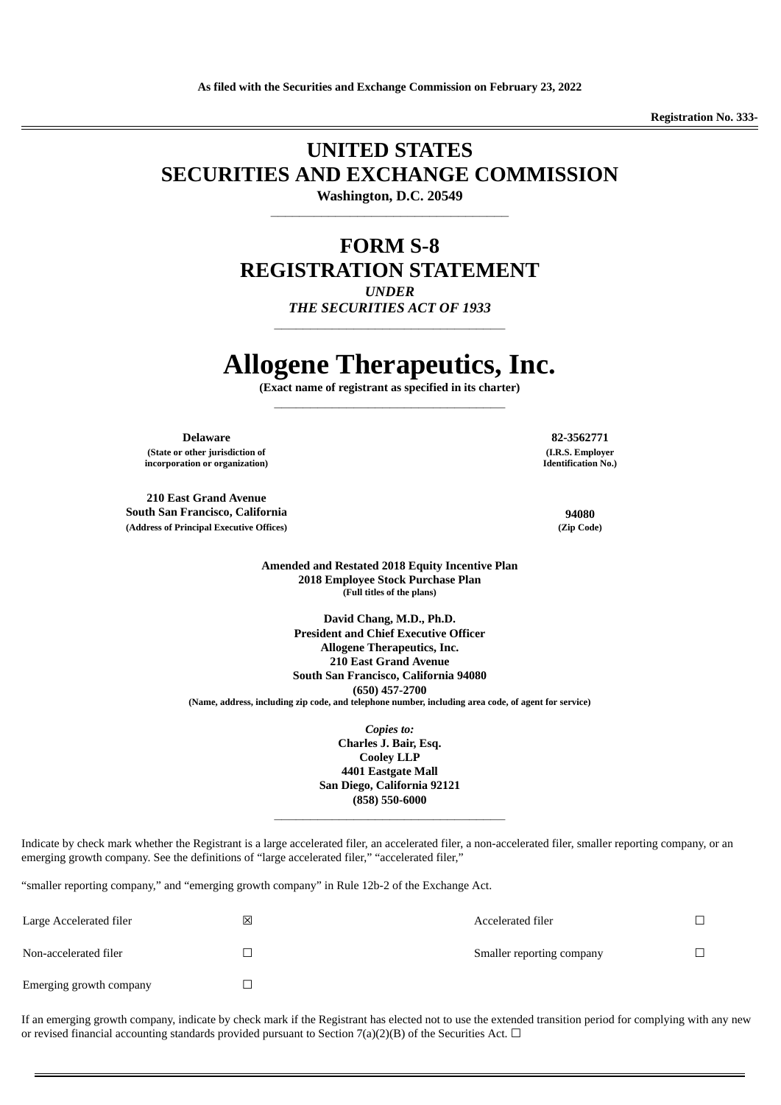**Registration No. 333-**

## **UNITED STATES SECURITIES AND EXCHANGE COMMISSION**

**Washington, D.C. 20549 \_\_\_\_\_\_\_\_\_\_\_\_\_\_\_\_\_\_\_\_\_\_\_\_\_\_\_\_\_\_\_\_\_**

### **FORM S-8 REGISTRATION STATEMENT** *UNDER*

*THE SECURITIES ACT OF 1933* **\_\_\_\_\_\_\_\_\_\_\_\_\_\_\_\_\_\_\_\_\_\_\_\_\_\_\_\_\_\_\_\_**

# **Allogene Therapeutics, Inc.**

**(Exact name of registrant as specified in its charter) \_\_\_\_\_\_\_\_\_\_\_\_\_\_\_\_\_\_\_\_\_\_\_\_\_\_\_\_\_\_\_\_**

**Delaware 82-3562771 (State or other jurisdiction of incorporation or organization)**

**210 East Grand Avenue South San Francisco, California 94080 (Address of Principal Executive Offices) (Zip Code)**

**(I.R.S. Employer Identification No.)**

**Amended and Restated 2018 Equity Incentive Plan 2018 Employee Stock Purchase Plan (Full titles of the plans)**

**David Chang, M.D., Ph.D. President and Chief Executive Officer Allogene Therapeutics, Inc. 210 East Grand Avenue South San Francisco, California 94080 (650) 457-2700 (Name, address, including zip code, and telephone number, including area code, of agent for service)**

> *Copies to:* **Charles J. Bair, Esq. Cooley LLP 4401 Eastgate Mall San Diego, California 92121 (858) 550-6000 \_\_\_\_\_\_\_\_\_\_\_\_\_\_\_\_\_\_\_\_\_\_\_\_\_\_\_\_\_\_\_\_**

Indicate by check mark whether the Registrant is a large accelerated filer, an accelerated filer, a non-accelerated filer, smaller reporting company, or an emerging growth company. See the definitions of "large accelerated filer," "accelerated filer,"

"smaller reporting company," and "emerging growth company" in Rule 12b-2 of the Exchange Act.

| Large Accelerated filer | 区 | Accelerated filer         |  |
|-------------------------|---|---------------------------|--|
| Non-accelerated filer   |   | Smaller reporting company |  |
| Emerging growth company |   |                           |  |

If an emerging growth company, indicate by check mark if the Registrant has elected not to use the extended transition period for complying with any new or revised financial accounting standards provided pursuant to Section 7(a)(2)(B) of the Securities Act.  $\Box$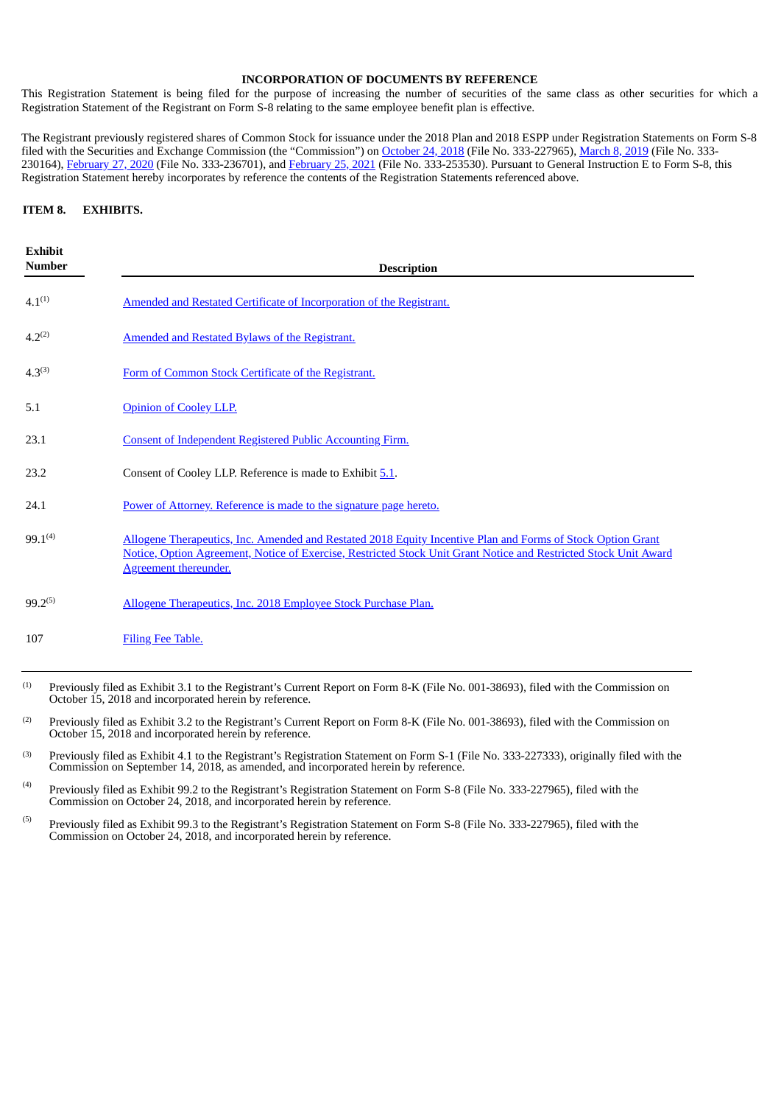#### **INCORPORATION OF DOCUMENTS BY REFERENCE**

This Registration Statement is being filed for the purpose of increasing the number of securities of the same class as other securities for which a Registration Statement of the Registrant on Form S-8 relating to the same employee benefit plan is effective.

The Registrant previously registered shares of Common Stock for issuance under the 2018 Plan and 2018 ESPP under Registration Statements on Form S-8 filed with the Securities and Exchange Commission (the "Commission") on [October](https://www.sec.gov/Archives/edgar/data/1737287/000119312518306372/d642001ds8.htm) 24, 2018 (File No. 333-227965), [March](https://www.sec.gov/Archives/edgar/data/1737287/000119312519069173/d720187ds8.htm) 8, 2019 (File No. 333-230164), [February](http://www.sec.gov/Archives/edgar/data/1737287/000173728721000010/allogene-formsx8x20210225.htm) 27, 2020 (File No. 333-236701), and February 25, 2021 (File No. 333-253530). Pursuant to General Instruction E to Form S-8, this Registration Statement hereby incorporates by reference the contents of the Registration Statements referenced above.

#### **ITEM 8. EXHIBITS.**

| <b>Exhibit</b><br><b>Number</b> | <b>Description</b>                                                                                                                                                                                                                                              |
|---------------------------------|-----------------------------------------------------------------------------------------------------------------------------------------------------------------------------------------------------------------------------------------------------------------|
| $4.1^{(1)}$                     | Amended and Restated Certificate of Incorporation of the Registrant.                                                                                                                                                                                            |
| $4.2^{(2)}$                     | Amended and Restated Bylaws of the Registrant.                                                                                                                                                                                                                  |
| $4.3^{(3)}$                     | Form of Common Stock Certificate of the Registrant.                                                                                                                                                                                                             |
| 5.1                             | <b>Opinion of Cooley LLP.</b>                                                                                                                                                                                                                                   |
| 23.1                            | <b>Consent of Independent Registered Public Accounting Firm.</b>                                                                                                                                                                                                |
| 23.2                            | Consent of Cooley LLP. Reference is made to Exhibit 5.1.                                                                                                                                                                                                        |
| 24.1                            | Power of Attorney. Reference is made to the signature page hereto.                                                                                                                                                                                              |
| $99.1^{(4)}$                    | Allogene Therapeutics, Inc. Amended and Restated 2018 Equity Incentive Plan and Forms of Stock Option Grant<br>Notice, Option Agreement, Notice of Exercise, Restricted Stock Unit Grant Notice and Restricted Stock Unit Award<br><b>Agreement thereunder.</b> |
| $99.2^{(5)}$                    | Allogene Therapeutics, Inc. 2018 Employee Stock Purchase Plan.                                                                                                                                                                                                  |
| 107                             | Filing Fee Table.                                                                                                                                                                                                                                               |
|                                 |                                                                                                                                                                                                                                                                 |

- Previously filed as Exhibit 3.1 to the Registrant's Current Report on Form 8-K (File No. 001-38693), filed with the Commission on October 15, 2018 and incorporated herein by reference. (1)
- Previously filed as Exhibit 3.2 to the Registrant's Current Report on Form 8-K (File No. 001-38693), filed with the Commission on October 15, 2018 and incorporated herein by reference. (2)
- Previously filed as Exhibit 4.1 to the Registrant's Registration Statement on Form S-1 (File No. 333-227333), originally filed with the Commission on September 14, 2018, as amended, and incorporated herein by reference. (3)
- Previously filed as Exhibit 99.2 to the Registrant's Registration Statement on Form S-8 (File No. 333-227965), filed with the Commission on October 24, 2018, and incorporated herein by reference. (4)
- <span id="page-2-0"></span>Previously filed as Exhibit 99.3 to the Registrant's Registration Statement on Form S-8 (File No. 333-227965), filed with the Commission on October 24, 2018, and incorporated herein by reference. (5)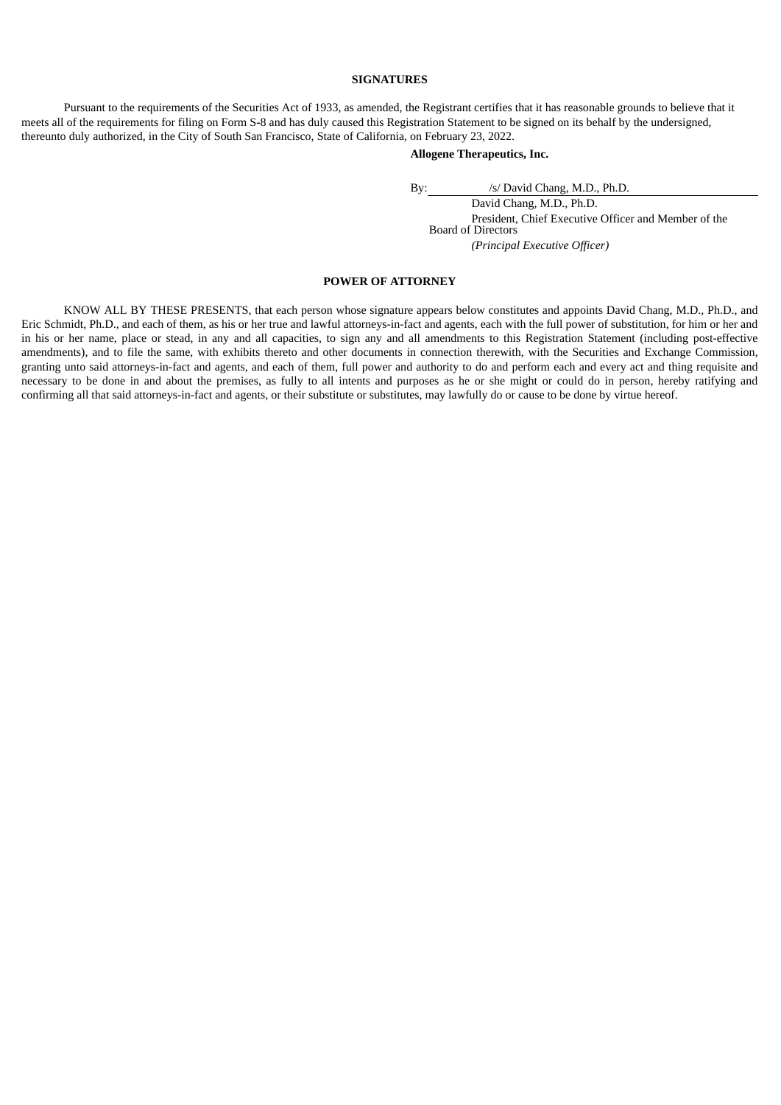#### **SIGNATURES**

Pursuant to the requirements of the Securities Act of 1933, as amended, the Registrant certifies that it has reasonable grounds to believe that it meets all of the requirements for filing on Form S-8 and has duly caused this Registration Statement to be signed on its behalf by the undersigned, thereunto duly authorized, in the City of South San Francisco, State of California, on February 23, 2022.

#### **Allogene Therapeutics, Inc.**

By: /s/ David Chang, M.D., Ph.D.

David Chang, M.D., Ph.D. President, Chief Executive Officer and Member of the Board of Directors *(Principal Executive Officer)*

#### **POWER OF ATTORNEY**

KNOW ALL BY THESE PRESENTS, that each person whose signature appears below constitutes and appoints David Chang, M.D., Ph.D., and Eric Schmidt, Ph.D., and each of them, as his or her true and lawful attorneys-in-fact and agents, each with the full power of substitution, for him or her and in his or her name, place or stead, in any and all capacities, to sign any and all amendments to this Registration Statement (including post-effective amendments), and to file the same, with exhibits thereto and other documents in connection therewith, with the Securities and Exchange Commission, granting unto said attorneys-in-fact and agents, and each of them, full power and authority to do and perform each and every act and thing requisite and necessary to be done in and about the premises, as fully to all intents and purposes as he or she might or could do in person, hereby ratifying and confirming all that said attorneys-in-fact and agents, or their substitute or substitutes, may lawfully do or cause to be done by virtue hereof.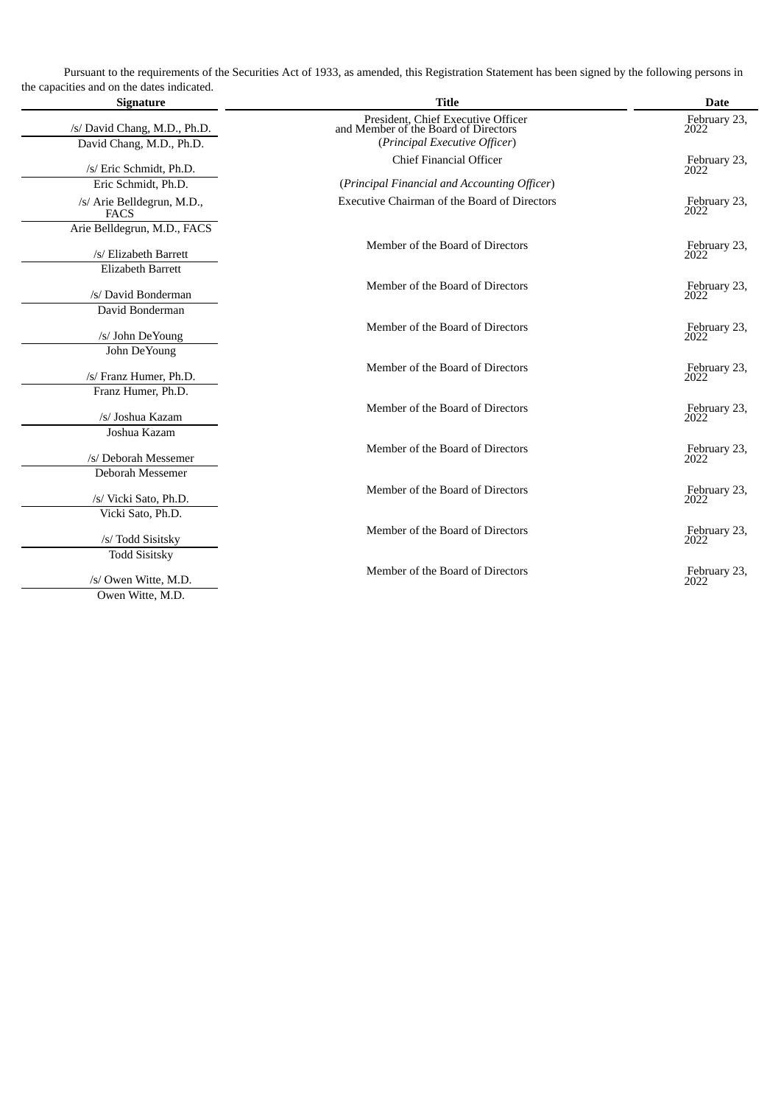Pursuant to the requirements of the Securities Act of 1933, as amended, this Registration Statement has been signed by the following persons in the capacities and on the dates indicated.

| <b>Signature</b>                          | <b>Title</b>                                                               | <b>Date</b>          |
|-------------------------------------------|----------------------------------------------------------------------------|----------------------|
| /s/ David Chang, M.D., Ph.D.              | President, Chief Executive Officer<br>and Member of the Board of Directors | February 23,<br>2022 |
| David Chang, M.D., Ph.D.                  | (Principal Executive Officer)                                              |                      |
| /s/ Eric Schmidt, Ph.D.                   | Chief Financial Officer                                                    | February 23,<br>2022 |
| Eric Schmidt, Ph.D.                       | (Principal Financial and Accounting Officer)                               |                      |
| /s/ Arie Belldegrun, M.D.,<br><b>FACS</b> | <b>Executive Chairman of the Board of Directors</b>                        | February 23,<br>2022 |
| Arie Belldegrun, M.D., FACS               |                                                                            |                      |
| /s/ Elizabeth Barrett                     | Member of the Board of Directors                                           | February 23,<br>2022 |
| <b>Elizabeth Barrett</b>                  |                                                                            |                      |
| /s/ David Bonderman                       | Member of the Board of Directors                                           | February 23,<br>2022 |
| David Bonderman                           |                                                                            |                      |
| /s/ John DeYoung                          | Member of the Board of Directors                                           | February 23,<br>2022 |
| John DeYoung                              |                                                                            |                      |
| /s/ Franz Humer, Ph.D.                    | Member of the Board of Directors                                           | February 23,<br>2022 |
| Franz Humer, Ph.D.                        |                                                                            |                      |
| /s/ Joshua Kazam                          | Member of the Board of Directors                                           | February 23,<br>2022 |
| Joshua Kazam                              |                                                                            |                      |
| /s/ Deborah Messemer                      | Member of the Board of Directors                                           | February 23,<br>2022 |
| Deborah Messemer                          |                                                                            |                      |
| /s/ Vicki Sato, Ph.D.                     | Member of the Board of Directors                                           | February 23,<br>2022 |
| Vicki Sato, Ph.D.                         |                                                                            |                      |
| /s/ Todd Sisitsky                         | Member of the Board of Directors                                           | February 23,<br>2022 |
| <b>Todd Sisitsky</b>                      |                                                                            |                      |
| /s/ Owen Witte, M.D.                      | Member of the Board of Directors                                           | February 23,<br>2022 |
| Owen Witte, M.D.                          |                                                                            |                      |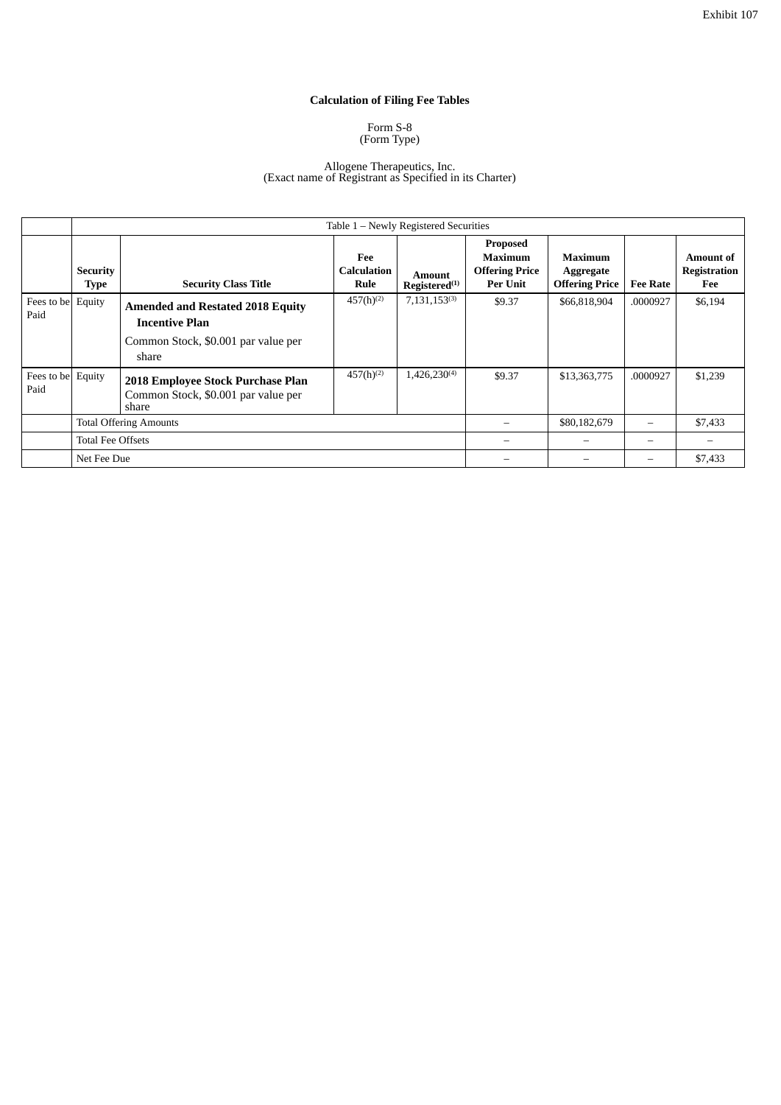#### **Calculation of Filing Fee Tables**

#### Form S-8 (Form Type)

#### Allogene Therapeutics, Inc. (Exact name of Registrant as Specified in its Charter)

<span id="page-5-0"></span>

|                           | Table 1 - Newly Registered Securities |                                                                                                                  |                                   |                                            |                                                                        |                                                      |                 |                                  |  |
|---------------------------|---------------------------------------|------------------------------------------------------------------------------------------------------------------|-----------------------------------|--------------------------------------------|------------------------------------------------------------------------|------------------------------------------------------|-----------------|----------------------------------|--|
|                           | <b>Security</b><br><b>Type</b>        | <b>Security Class Title</b>                                                                                      | Fee<br><b>Calculation</b><br>Rule | <b>Amount</b><br>Registered <sup>(1)</sup> | Proposed<br><b>Maximum</b><br><b>Offering Price</b><br><b>Per Unit</b> | <b>Maximum</b><br>Aggregate<br><b>Offering Price</b> | <b>Fee Rate</b> | Amount of<br>Registration<br>Fee |  |
| Fees to be Equity<br>Paid |                                       | <b>Amended and Restated 2018 Equity</b><br><b>Incentive Plan</b><br>Common Stock, \$0.001 par value per<br>share | $457(h)^{(2)}$                    | $7,131,153^{(3)}$                          | \$9.37                                                                 | \$66,818,904                                         | .0000927        | \$6,194                          |  |
| Fees to be<br>Paid        | Equity                                | 2018 Employee Stock Purchase Plan<br>Common Stock, \$0.001 par value per<br>share                                | $457(h)^{(2)}$                    | $1,426,230^{(4)}$                          | \$9.37                                                                 | \$13,363,775                                         | .0000927        | \$1,239                          |  |
|                           | <b>Total Offering Amounts</b>         |                                                                                                                  |                                   |                                            | \$80,182,679                                                           | $\overline{\phantom{m}}$                             | \$7,433         |                                  |  |
|                           | <b>Total Fee Offsets</b>              |                                                                                                                  |                                   |                                            | $\overline{\phantom{0}}$                                               | $\overline{\phantom{0}}$                             |                 |                                  |  |
|                           | Net Fee Due                           |                                                                                                                  |                                   |                                            |                                                                        |                                                      | \$7,433         |                                  |  |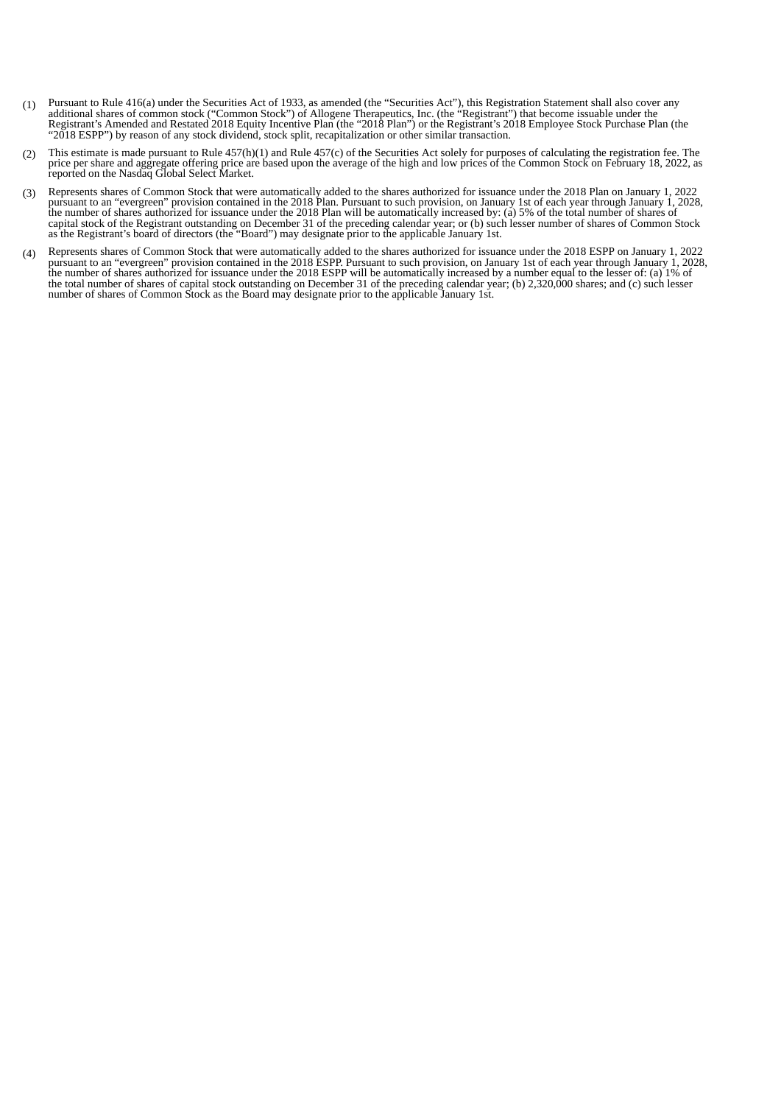- (1) Pursuant to Rule 416(a) under the Securities Act of 1933, as amended (the "Securities Act"), this Registration Statement shall also cover any additional shares of common stock ("Common Stock") of Allogene Therapeutics, Registrant's Amended and Restated 2018 Equity Incentive Plan (the "2018 Plan") or the Registrant's 2018 Employee Stock Purchase Plan (the "2018 ESPP") by reason of any stock dividend, stock split, recapitalization or other similar transaction.
- (2) This estimate is made pursuant to Rule 457(h)(1) and Rule 457(c) of the Securities Act solely for purposes of calculating the registration fee. The price per share and aggregate offering price are based upon the average of the high and low prices of the Common Stock on February 18, 2022, as reported on the Nasdaq Global Select Market.
- (3) Represents shares of Common Stock that were automatically added to the shares authorized for issuance under the 2018 Plan on January 1, 2022 pursuant to an "evergreen" provision contained in the 2018 Plan. Pursuant to such provision, on January 1st of each year through January 1, 2028, the number of shares authorized for issuance under the 2018 Plan will be automatically increased by: (a) 5% of the total number of shares of capital stock of the Registrant outstanding on December 31 of the preceding calendar year; or (b) such lesser number of shares of Common Stock as the Registrant's board of directors (the "Board") may designate prior to the applicable January 1st.
- (4) Represents shares of Common Stock that were automatically added to the shares authorized for issuance under the 2018 ESPP on January 1, 2022<br>pursuant to an "evergreen" provision contained in the 2018 ESPP. Pursuant to the number of shares authorized for issuance under the 2018 ESPP will be automatically increased by a number equal to the lesser of: (a) 1% of the total number of shares of capital stock outstanding on December 31 of the preceding calendar year; (b) 2,320,000 shares; and (c) such lesser number of shares of Common Stock as the Board may designate prior to the applicable January 1st.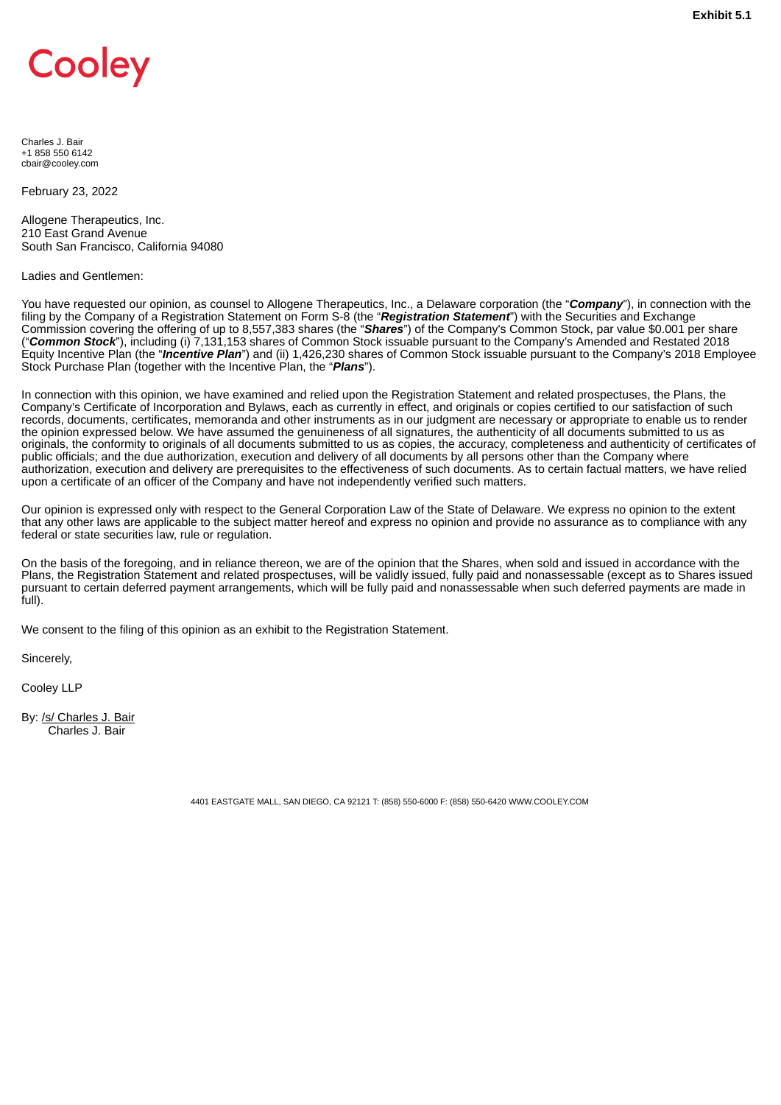# <span id="page-7-0"></span>Cooley

Charles J. Bair +1 858 550 6142 cbair@cooley.com

February 23, 2022

Allogene Therapeutics, Inc. 210 East Grand Avenue South San Francisco, California 94080

#### Ladies and Gentlemen:

You have requested our opinion, as counsel to Allogene Therapeutics, Inc., a Delaware corporation (the "*Company*"), in connection with the filing by the Company of a Registration Statement on Form S-8 (the "*Registration Statement*") with the Securities and Exchange Commission covering the offering of up to 8,557,383 shares (the "*Shares*") of the Company's Common Stock, par value \$0.001 per share ("*Common Stock*"), including (i) 7,131,153 shares of Common Stock issuable pursuant to the Company's Amended and Restated 2018 Equity Incentive Plan (the "*Incentive Plan*") and (ii) 1,426,230 shares of Common Stock issuable pursuant to the Company's 2018 Employee Stock Purchase Plan (together with the Incentive Plan, the "*Plans*").

In connection with this opinion, we have examined and relied upon the Registration Statement and related prospectuses, the Plans, the Company's Certificate of Incorporation and Bylaws, each as currently in effect, and originals or copies certified to our satisfaction of such records, documents, certificates, memoranda and other instruments as in our judgment are necessary or appropriate to enable us to render the opinion expressed below. We have assumed the genuineness of all signatures, the authenticity of all documents submitted to us as originals, the conformity to originals of all documents submitted to us as copies, the accuracy, completeness and authenticity of certificates of public officials; and the due authorization, execution and delivery of all documents by all persons other than the Company where authorization, execution and delivery are prerequisites to the effectiveness of such documents. As to certain factual matters, we have relied upon a certificate of an officer of the Company and have not independently verified such matters.

Our opinion is expressed only with respect to the General Corporation Law of the State of Delaware. We express no opinion to the extent that any other laws are applicable to the subject matter hereof and express no opinion and provide no assurance as to compliance with any federal or state securities law, rule or regulation.

On the basis of the foregoing, and in reliance thereon, we are of the opinion that the Shares, when sold and issued in accordance with the Plans, the Registration Statement and related prospectuses, will be validly issued, fully paid and nonassessable (except as to Shares issued pursuant to certain deferred payment arrangements, which will be fully paid and nonassessable when such deferred payments are made in full).

We consent to the filing of this opinion as an exhibit to the Registration Statement.

Sincerely,

Cooley LLP

By: /s/ Charles J. Bair Charles J. Bair

4401 EASTGATE MALL, SAN DIEGO, CA 92121 T: (858) 550-6000 F: (858) 550-6420 WWW.COOLEY.COM